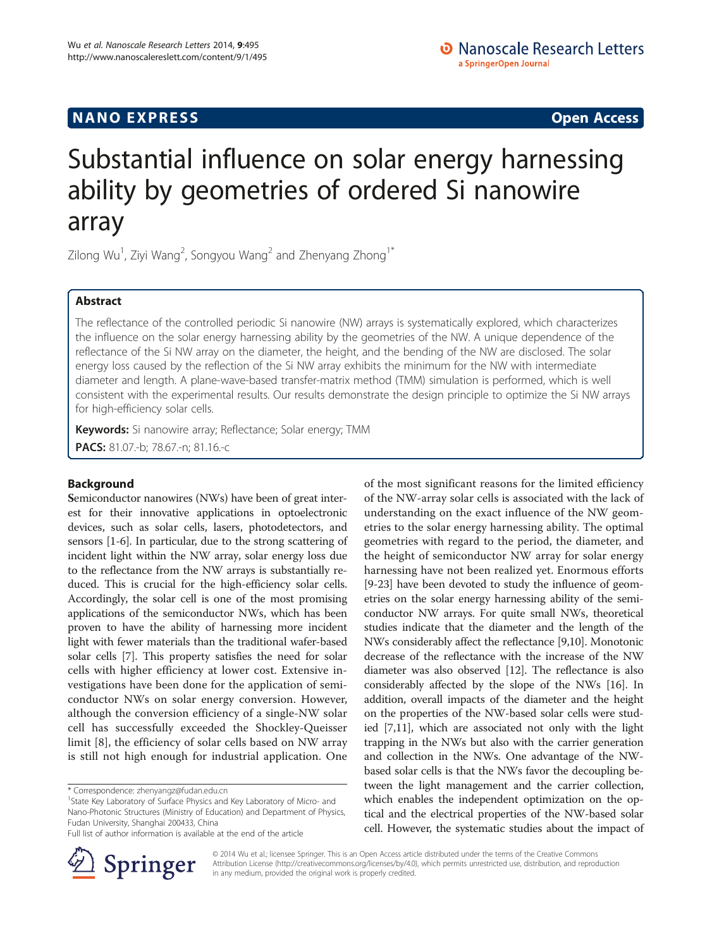## **NANO EXPRESS** Open Access and the set of the set of the set of the set of the set of the set of the set of the set of the set of the set of the set of the set of the set of the set of the set of the set of the set of the

# Substantial influence on solar energy harnessing ability by geometries of ordered Si nanowire array

Zilong Wu<sup>1</sup>, Ziyi Wang<sup>2</sup>, Songyou Wang<sup>2</sup> and Zhenyang Zhong<sup>1\*</sup>

## Abstract

The reflectance of the controlled periodic Si nanowire (NW) arrays is systematically explored, which characterizes the influence on the solar energy harnessing ability by the geometries of the NW. A unique dependence of the reflectance of the Si NW array on the diameter, the height, and the bending of the NW are disclosed. The solar energy loss caused by the reflection of the Si NW array exhibits the minimum for the NW with intermediate diameter and length. A plane-wave-based transfer-matrix method (TMM) simulation is performed, which is well consistent with the experimental results. Our results demonstrate the design principle to optimize the Si NW arrays for high-efficiency solar cells.

Keywords: Si nanowire array; Reflectance; Solar energy; TMM PACS: 81.07.-b; 78.67.-n; 81.16.-c

## Background

Semiconductor nanowires (NWs) have been of great interest for their innovative applications in optoelectronic devices, such as solar cells, lasers, photodetectors, and sensors [\[1-6](#page-4-0)]. In particular, due to the strong scattering of incident light within the NW array, solar energy loss due to the reflectance from the NW arrays is substantially reduced. This is crucial for the high-efficiency solar cells. Accordingly, the solar cell is one of the most promising applications of the semiconductor NWs, which has been proven to have the ability of harnessing more incident light with fewer materials than the traditional wafer-based solar cells [\[7\]](#page-4-0). This property satisfies the need for solar cells with higher efficiency at lower cost. Extensive investigations have been done for the application of semiconductor NWs on solar energy conversion. However, although the conversion efficiency of a single-NW solar cell has successfully exceeded the Shockley-Queisser limit [\[8](#page-4-0)], the efficiency of solar cells based on NW array is still not high enough for industrial application. One

\* Correspondence: [zhenyangz@fudan.edu.cn](mailto:zhenyangz@fudan.edu.cn) <sup>1</sup>

Full list of author information is available at the end of the article



of the most significant reasons for the limited efficiency of the NW-array solar cells is associated with the lack of understanding on the exact influence of the NW geometries to the solar energy harnessing ability. The optimal geometries with regard to the period, the diameter, and the height of semiconductor NW array for solar energy harnessing have not been realized yet. Enormous efforts [[9-](#page-4-0)[23\]](#page-5-0) have been devoted to study the influence of geometries on the solar energy harnessing ability of the semiconductor NW arrays. For quite small NWs, theoretical studies indicate that the diameter and the length of the NWs considerably affect the reflectance [[9,10](#page-4-0)]. Monotonic decrease of the reflectance with the increase of the NW diameter was also observed [\[12\]](#page-5-0). The reflectance is also considerably affected by the slope of the NWs [\[16](#page-5-0)]. In addition, overall impacts of the diameter and the height on the properties of the NW-based solar cells were studied [\[7,11\]](#page-4-0), which are associated not only with the light trapping in the NWs but also with the carrier generation and collection in the NWs. One advantage of the NWbased solar cells is that the NWs favor the decoupling between the light management and the carrier collection, which enables the independent optimization on the optical and the electrical properties of the NW-based solar cell. However, the systematic studies about the impact of

© 2014 Wu et al.; licensee Springer. This is an Open Access article distributed under the terms of the Creative Commons Attribution License [\(http://creativecommons.org/licenses/by/4.0\)](http://creativecommons.org/licenses/by/4.0), which permits unrestricted use, distribution, and reproduction in any medium, provided the original work is properly credited.

 $1$ State Key Laboratory of Surface Physics and Key Laboratory of Micro- and Nano-Photonic Structures (Ministry of Education) and Department of Physics, Fudan University, Shanghai 200433, China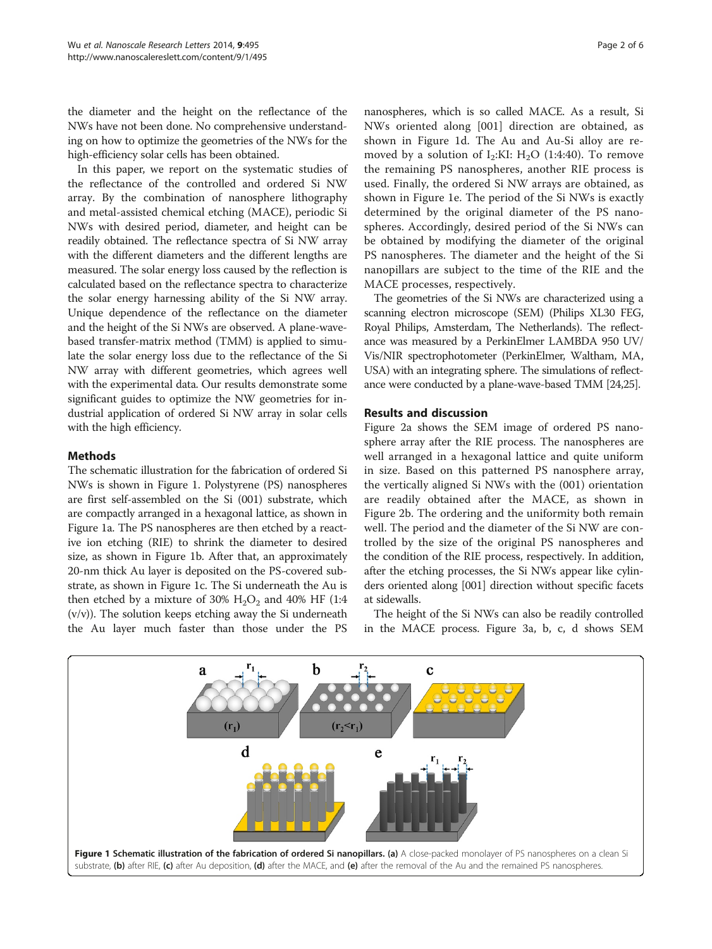the diameter and the height on the reflectance of the NWs have not been done. No comprehensive understanding on how to optimize the geometries of the NWs for the high-efficiency solar cells has been obtained.

In this paper, we report on the systematic studies of the reflectance of the controlled and ordered Si NW array. By the combination of nanosphere lithography and metal-assisted chemical etching (MACE), periodic Si NWs with desired period, diameter, and height can be readily obtained. The reflectance spectra of Si NW array with the different diameters and the different lengths are measured. The solar energy loss caused by the reflection is calculated based on the reflectance spectra to characterize the solar energy harnessing ability of the Si NW array. Unique dependence of the reflectance on the diameter and the height of the Si NWs are observed. A plane-wavebased transfer-matrix method (TMM) is applied to simulate the solar energy loss due to the reflectance of the Si NW array with different geometries, which agrees well with the experimental data. Our results demonstrate some significant guides to optimize the NW geometries for industrial application of ordered Si NW array in solar cells with the high efficiency.

## Methods

The schematic illustration for the fabrication of ordered Si NWs is shown in Figure 1. Polystyrene (PS) nanospheres are first self-assembled on the Si (001) substrate, which are compactly arranged in a hexagonal lattice, as shown in Figure 1a. The PS nanospheres are then etched by a reactive ion etching (RIE) to shrink the diameter to desired size, as shown in Figure 1b. After that, an approximately 20-nm thick Au layer is deposited on the PS-covered substrate, as shown in Figure 1c. The Si underneath the Au is then etched by a mixture of 30%  $H_2O_2$  and 40% HF (1:4  $(v/v)$ ). The solution keeps etching away the Si underneath the Au layer much faster than those under the PS

nanospheres, which is so called MACE. As a result, Si NWs oriented along [001] direction are obtained, as shown in Figure 1d. The Au and Au-Si alloy are removed by a solution of  $I_2$ :KI: H<sub>2</sub>O (1:4:40). To remove the remaining PS nanospheres, another RIE process is used. Finally, the ordered Si NW arrays are obtained, as shown in Figure 1e. The period of the Si NWs is exactly determined by the original diameter of the PS nanospheres. Accordingly, desired period of the Si NWs can be obtained by modifying the diameter of the original PS nanospheres. The diameter and the height of the Si nanopillars are subject to the time of the RIE and the MACE processes, respectively.

The geometries of the Si NWs are characterized using a scanning electron microscope (SEM) (Philips XL30 FEG, Royal Philips, Amsterdam, The Netherlands). The reflectance was measured by a PerkinElmer LAMBDA 950 UV/ Vis/NIR spectrophotometer (PerkinElmer, Waltham, MA, USA) with an integrating sphere. The simulations of reflectance were conducted by a plane-wave-based TMM [\[24,25](#page-5-0)].

### Results and discussion

Figure [2](#page-2-0)a shows the SEM image of ordered PS nanosphere array after the RIE process. The nanospheres are well arranged in a hexagonal lattice and quite uniform in size. Based on this patterned PS nanosphere array, the vertically aligned Si NWs with the (001) orientation are readily obtained after the MACE, as shown in Figure [2b](#page-2-0). The ordering and the uniformity both remain well. The period and the diameter of the Si NW are controlled by the size of the original PS nanospheres and the condition of the RIE process, respectively. In addition, after the etching processes, the Si NWs appear like cylinders oriented along [001] direction without specific facets at sidewalls.

The height of the Si NWs can also be readily controlled in the MACE process. Figure [3](#page-2-0)a, b, c, d shows SEM

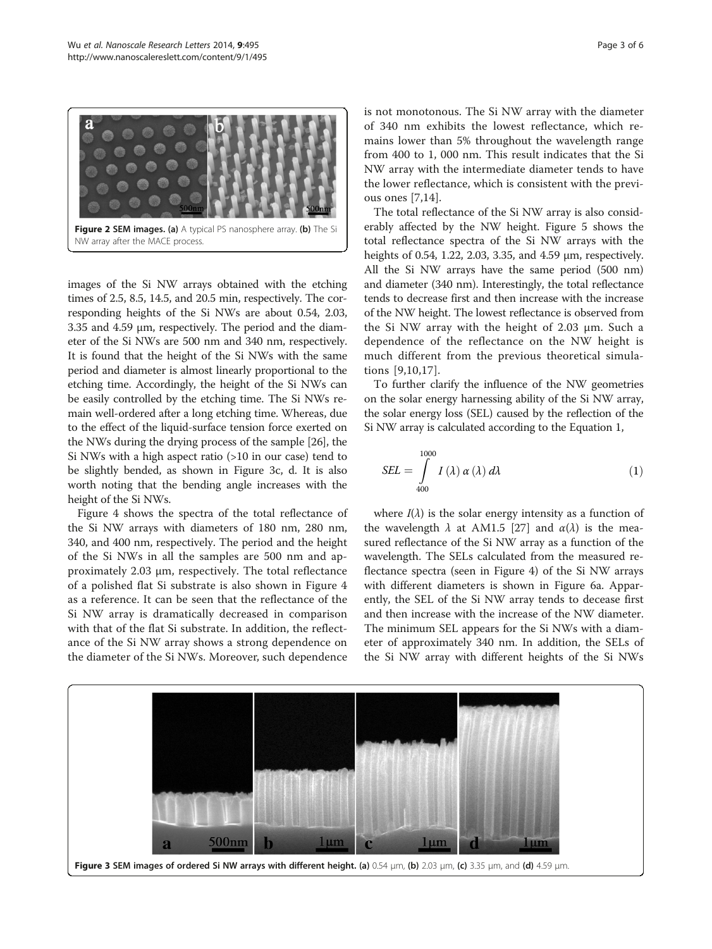<span id="page-2-0"></span>

images of the Si NW arrays obtained with the etching times of 2.5, 8.5, 14.5, and 20.5 min, respectively. The corresponding heights of the Si NWs are about 0.54, 2.03, 3.35 and 4.59 μm, respectively. The period and the diameter of the Si NWs are 500 nm and 340 nm, respectively. It is found that the height of the Si NWs with the same period and diameter is almost linearly proportional to the etching time. Accordingly, the height of the Si NWs can be easily controlled by the etching time. The Si NWs remain well-ordered after a long etching time. Whereas, due to the effect of the liquid-surface tension force exerted on the NWs during the drying process of the sample [\[26\]](#page-5-0), the Si NWs with a high aspect ratio (>10 in our case) tend to be slightly bended, as shown in Figure 3c, d. It is also worth noting that the bending angle increases with the height of the Si NWs.

Figure [4](#page-3-0) shows the spectra of the total reflectance of the Si NW arrays with diameters of 180 nm, 280 nm, 340, and 400 nm, respectively. The period and the height of the Si NWs in all the samples are 500 nm and approximately 2.03 μm, respectively. The total reflectance of a polished flat Si substrate is also shown in Figure [4](#page-3-0) as a reference. It can be seen that the reflectance of the Si NW array is dramatically decreased in comparison with that of the flat Si substrate. In addition, the reflectance of the Si NW array shows a strong dependence on the diameter of the Si NWs. Moreover, such dependence

is not monotonous. The Si NW array with the diameter of 340 nm exhibits the lowest reflectance, which remains lower than 5% throughout the wavelength range from 400 to 1, 000 nm. This result indicates that the Si NW array with the intermediate diameter tends to have the lower reflectance, which is consistent with the previous ones [[7,](#page-4-0)[14](#page-5-0)].

The total reflectance of the Si NW array is also considerably affected by the NW height. Figure [5](#page-3-0) shows the total reflectance spectra of the Si NW arrays with the heights of 0.54, 1.22, 2.03, 3.35, and 4.59 μm, respectively. All the Si NW arrays have the same period (500 nm) and diameter (340 nm). Interestingly, the total reflectance tends to decrease first and then increase with the increase of the NW height. The lowest reflectance is observed from the Si NW array with the height of 2.03 μm. Such a dependence of the reflectance on the NW height is much different from the previous theoretical simulations [[9,10](#page-4-0),[17\]](#page-5-0).

To further clarify the influence of the NW geometries on the solar energy harnessing ability of the Si NW array, the solar energy loss (SEL) caused by the reflection of the Si NW array is calculated according to the Equation [1,](#page-3-0)

$$
SEL = \int_{400}^{1000} I(\lambda) \alpha(\lambda) d\lambda
$$
 (1)

where  $I(\lambda)$  is the solar energy intensity as a function of the wavelength  $\lambda$  at AM1.5 [[27](#page-5-0)] and  $\alpha(\lambda)$  is the measured reflectance of the Si NW array as a function of the wavelength. The SELs calculated from the measured reflectance spectra (seen in Figure [4\)](#page-3-0) of the Si NW arrays with different diameters is shown in Figure [6a](#page-4-0). Apparently, the SEL of the Si NW array tends to decease first and then increase with the increase of the NW diameter. The minimum SEL appears for the Si NWs with a diameter of approximately 340 nm. In addition, the SELs of the Si NW array with different heights of the Si NWs

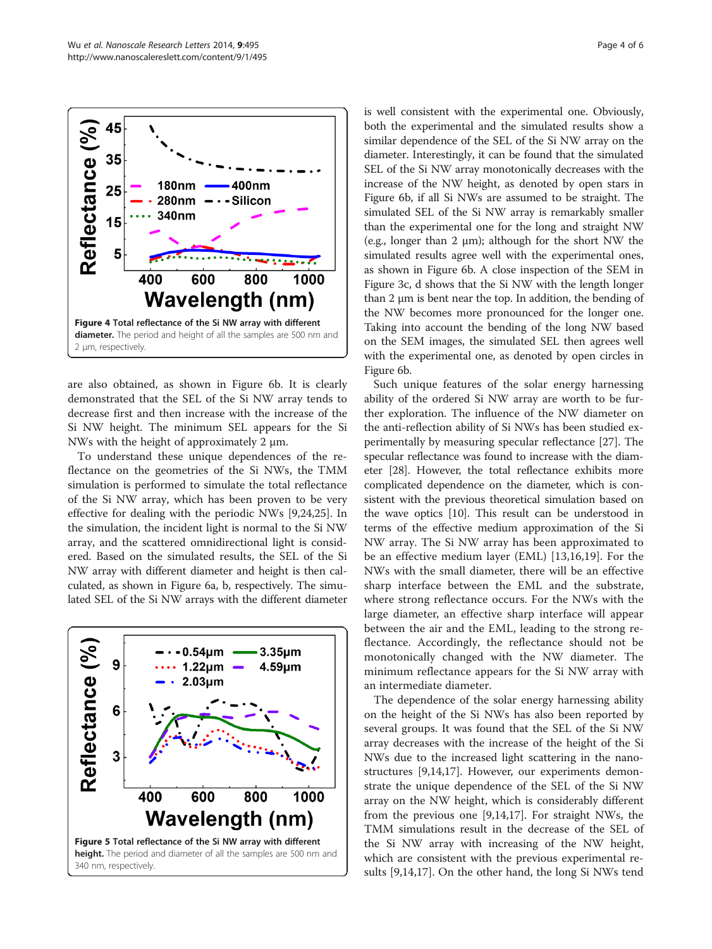

800

1000

are also obtained, as shown in Figure [6b](#page-4-0). It is clearly demonstrated that the SEL of the Si NW array tends to decrease first and then increase with the increase of the Si NW height. The minimum SEL appears for the Si NWs with the height of approximately 2 μm.

Figure 4 Total reflectance of the Si NW array with different diameter. The period and height of all the samples are 500 nm and

600

**Wavelength (nm)** 

2 μm, respectively.

45

35

25

15

5

400

<span id="page-3-0"></span>Reflectance (%

To understand these unique dependences of the reflectance on the geometries of the Si NWs, the TMM simulation is performed to simulate the total reflectance of the Si NW array, which has been proven to be very effective for dealing with the periodic NWs [\[9](#page-4-0)[,24,25\]](#page-5-0). In the simulation, the incident light is normal to the Si NW array, and the scattered omnidirectional light is considered. Based on the simulated results, the SEL of the Si NW array with different diameter and height is then calculated, as shown in Figure [6](#page-4-0)a, b, respectively. The simulated SEL of the Si NW arrays with the different diameter



is well consistent with the experimental one. Obviously, both the experimental and the simulated results show a similar dependence of the SEL of the Si NW array on the diameter. Interestingly, it can be found that the simulated SEL of the Si NW array monotonically decreases with the increase of the NW height, as denoted by open stars in Figure [6b](#page-4-0), if all Si NWs are assumed to be straight. The simulated SEL of the Si NW array is remarkably smaller than the experimental one for the long and straight NW (e.g., longer than 2 μm); although for the short NW the simulated results agree well with the experimental ones, as shown in Figure [6](#page-4-0)b. A close inspection of the SEM in Figure [3c](#page-2-0), d shows that the Si NW with the length longer than 2 μm is bent near the top. In addition, the bending of the NW becomes more pronounced for the longer one. Taking into account the bending of the long NW based on the SEM images, the simulated SEL then agrees well with the experimental one, as denoted by open circles in Figure [6](#page-4-0)b.

Such unique features of the solar energy harnessing ability of the ordered Si NW array are worth to be further exploration. The influence of the NW diameter on the anti-reflection ability of Si NWs has been studied experimentally by measuring specular reflectance [\[27](#page-5-0)]. The specular reflectance was found to increase with the diameter [\[28](#page-5-0)]. However, the total reflectance exhibits more complicated dependence on the diameter, which is consistent with the previous theoretical simulation based on the wave optics [\[10\]](#page-4-0). This result can be understood in terms of the effective medium approximation of the Si NW array. The Si NW array has been approximated to be an effective medium layer (EML) [\[13](#page-5-0),[16,19\]](#page-5-0). For the NWs with the small diameter, there will be an effective sharp interface between the EML and the substrate, where strong reflectance occurs. For the NWs with the large diameter, an effective sharp interface will appear between the air and the EML, leading to the strong reflectance. Accordingly, the reflectance should not be monotonically changed with the NW diameter. The minimum reflectance appears for the Si NW array with an intermediate diameter.

The dependence of the solar energy harnessing ability on the height of the Si NWs has also been reported by several groups. It was found that the SEL of the Si NW array decreases with the increase of the height of the Si NWs due to the increased light scattering in the nanostructures [[9,](#page-4-0)[14,17\]](#page-5-0). However, our experiments demonstrate the unique dependence of the SEL of the Si NW array on the NW height, which is considerably different from the previous one [[9,](#page-4-0)[14,17\]](#page-5-0). For straight NWs, the TMM simulations result in the decrease of the SEL of the Si NW array with increasing of the NW height, which are consistent with the previous experimental results [[9,](#page-4-0)[14,17](#page-5-0)]. On the other hand, the long Si NWs tend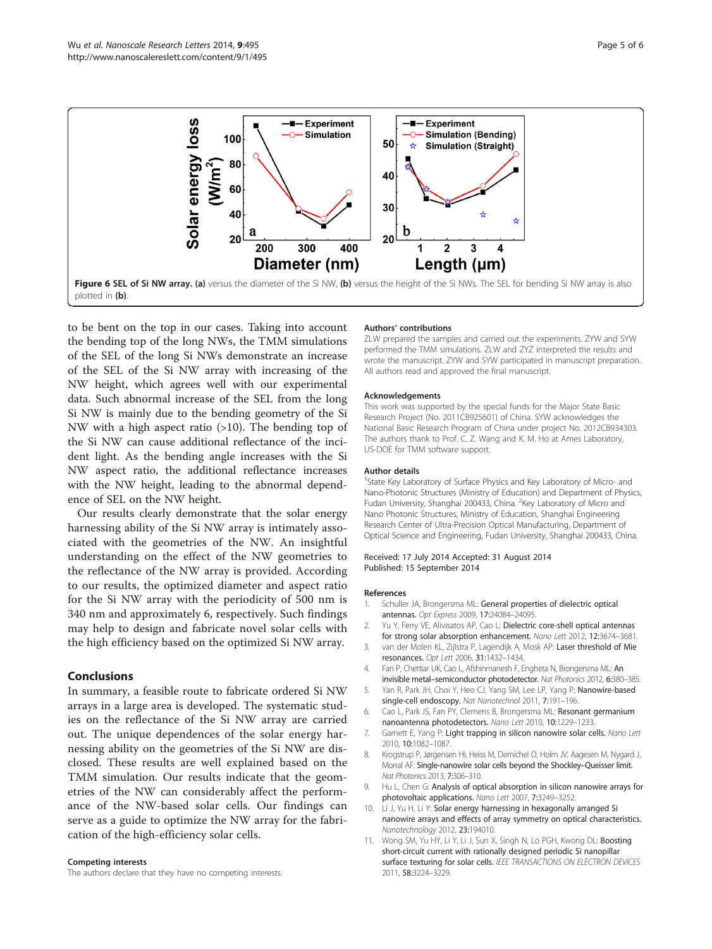<span id="page-4-0"></span>

to be bent on the top in our cases. Taking into account the bending top of the long NWs, the TMM simulations of the SEL of the long Si NWs demonstrate an increase of the SEL of the Si NW array with increasing of the NW height, which agrees well with our experimental data. Such abnormal increase of the SEL from the long Si NW is mainly due to the bending geometry of the Si NW with a high aspect ratio  $(>10)$ . The bending top of the Si NW can cause additional reflectance of the incident light. As the bending angle increases with the Si NW aspect ratio, the additional reflectance increases with the NW height, leading to the abnormal dependence of SEL on the NW height.

Our results clearly demonstrate that the solar energy harnessing ability of the Si NW array is intimately associated with the geometries of the NW. An insightful understanding on the effect of the NW geometries to the reflectance of the NW array is provided. According to our results, the optimized diameter and aspect ratio for the Si NW array with the periodicity of 500 nm is 340 nm and approximately 6, respectively. Such findings may help to design and fabricate novel solar cells with the high efficiency based on the optimized Si NW array.

#### Conclusions

In summary, a feasible route to fabricate ordered Si NW arrays in a large area is developed. The systematic studies on the reflectance of the Si NW array are carried out. The unique dependences of the solar energy harnessing ability on the geometries of the Si NW are disclosed. These results are well explained based on the TMM simulation. Our results indicate that the geometries of the NW can considerably affect the performance of the NW-based solar cells. Our findings can serve as a guide to optimize the NW array for the fabrication of the high-efficiency solar cells.

#### Competing interests

The authors declare that they have no competing interests.

#### Authors' contributions

ZLW prepared the samples and carried out the experiments. ZYW and SYW performed the TMM simulations. ZLW and ZYZ interpreted the results and wrote the manuscript. ZYW and SYW participated in manuscript preparation. All authors read and approved the final manuscript.

#### Acknowledgements

This work was supported by the special funds for the Major State Basic Research Project (No. 2011CB925601) of China. SYW acknowledges the National Basic Research Program of China under project No. 2012CB934303. The authors thank to Prof. C. Z. Wang and K. M. Ho at Ames Laboratory, US-DOE for TMM software support.

#### Author details

<sup>1</sup>State Key Laboratory of Surface Physics and Key Laboratory of Micro- and Nano-Photonic Structures (Ministry of Education) and Department of Physics, Fudan University, Shanghai 200433, China. <sup>2</sup>Key Laboratory of Micro and Nano Photonic Structures, Ministry of Education, Shanghai Engineering Research Center of Ultra-Precision Optical Manufacturing, Department of Optical Science and Engineering, Fudan University, Shanghai 200433, China.

#### Received: 17 July 2014 Accepted: 31 August 2014 Published: 15 September 2014

#### References

- 1. Schuller JA, Brongersma ML: General properties of dielectric optical antennas. Opt Express 2009, 17:24084–24095.
- 2. Yu Y, Ferry VE, Alivisatos AP, Cao L: Dielectric core-shell optical antennas for strong solar absorption enhancement. Nano Lett 2012, 12:3674–3681.
- 3. van der Molen KL, Zijlstra P, Lagendijk A, Mosk AP: Laser threshold of Mie resonances. Opt Lett 2006, 31:1432–1434.
- 4. Fan P, Chettiar UK, Cao L, Afshinmanesh F, Engheta N, Brongersma ML: An invisible metal–semiconductor photodetector. Nat Photonics 2012, 6:380–385.
- 5. Yan R, Park JH, Choi Y, Heo CJ, Yang SM, Lee LP, Yang P: Nanowire-based single-cell endoscopy. Nat Nanotechnol 2011, 7:191-196.
- 6. Cao L, Park JS, Fan PY, Clemens B, Brongersma ML: Resonant germanium nanoantenna photodetectors. Nano Lett 2010, 10:1229–1233.
- 7. Garnett E, Yang P: Light trapping in silicon nanowire solar cells. Nano Lett 2010, 10:1082–1087.
- 8. Krogstrup P, Jørgensen HI, Heiss M, Demichel O, Holm JV, Aagesen M, Nygard J, Morral AF: Single-nanowire solar cells beyond the Shockley–Queisser limit. Nat Photonics 2013, 7:306–310.
- 9. Hu L, Chen G: Analysis of optical absorption in silicon nanowire arrays for photovoltaic applications. Nano Lett 2007, 7:3249–3252.
- 10. Li J, Yu H, Li Y: Solar energy harnessing in hexagonally arranged Si nanowire arrays and effects of array symmetry on optical characteristics. Nanotechnology 2012, 23:194010.
- 11. Wong SM, Yu HY, Li Y, Li J, Sun X, Singh N, Lo PGH, Kwong DL: Boosting short-circuit current with rationally designed periodic Si nanopillar surface texturing for solar cells. IEEE TRANSACTIONS ON ELECTRON DEVICES 2011, 58:3224–3229.